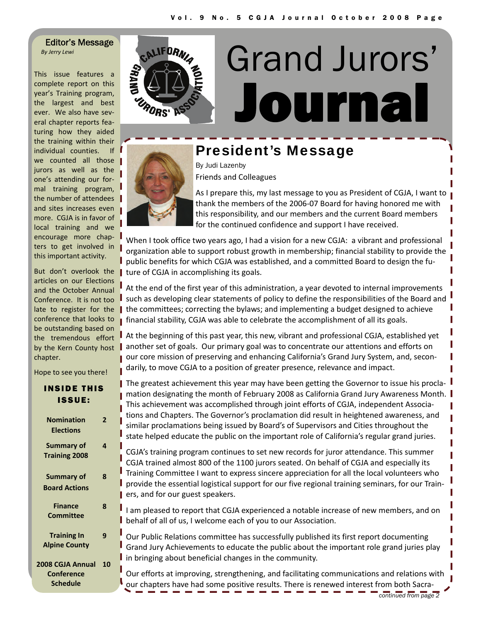Editor's Message *By Jerry Lewi*

This issue features a complete report on this year's Training program, the largest and best ever. We also have several chapter reports fea‐ turing how they aided the training within their individual counties. If we counted all those jurors as well as the one's attending our for‐ mal training program, the number of attendees and sites increases even more. CGJA is in favor of local training and we encourage more chapters to get involved in this important activity.

But don't overlook the articles on our Elections and the October Annual Conference. It is not too late to register for the conference that looks to be outstanding based on the tremendous effort by the Kern County host chapter.

Hope to see you there!

INSIDE THIS

| <b>ISSUE:</b>                                            |                | mation c<br>This achi                    |
|----------------------------------------------------------|----------------|------------------------------------------|
| <b>Nomination</b><br><b>Elections</b>                    | $\overline{2}$ | tions and<br>similar p<br>state hel      |
| <b>Summary of</b><br><b>Training 2008</b>                | 4              | CGJA's tr<br>CGJA tra                    |
| Summary of<br><b>Board Actions</b>                       | 8              | <b>Training</b><br>provide :<br>ers, and |
| <b>Finance</b><br><b>Committee</b>                       | 8              | I am plea<br>behalf o                    |
| <b>Training In</b><br><b>Alpine County</b>               | 9              | Our Pub<br>Grand Ju<br>in bringi         |
| 2008 CGJA Annual<br><b>Conference</b><br><b>Schedule</b> | 10             | Our effo<br>our chap                     |



# **Journal** Grand Jurors'



## President's Message

By Judi Lazenby Friends and Colleagues



As I prepare this, my last message to you as President of CGJA, I want to thank the members of the 2006‐07 Board for having honored me with this responsibility, and our members and the current Board members for the continued confidence and support I have received.

When I took office two years ago, I had a vision for a new CGJA: a vibrant and professional organization able to support robust growth in membership; financial stability to provide the public benefits for which CGJA was established, and a committed Board to design the fu‐ I ture of CGJA in accomplishing its goals.

At the end of the first year of this administration, a year devoted to internal improvements such as developing clear statements of policy to define the responsibilities of the Board and the committees; correcting the bylaws; and implementing a budget designed to achieve **financial stability, CGJA was able to celebrate the accomplishment of all its goals.** 

At the beginning of this past year, this new, vibrant and professional CGJA, established yet **another set of goals. Our primary goal was to concentrate our attentions and efforts on** our core mission of preserving and enhancing California's Grand Jury System, and, secondarily, to move CGJA to a position of greater presence, relevance and impact.

■ The greatest achievement this year may have been getting the Governor to issue his procladesignating the month of February 2008 as California Grand Jury Awareness Month.  $\parallel$ ievement was accomplished through joint efforts of CGJA, independent Associad Chapters. The Governor's proclamation did result in heightened awareness, and roclamations being issued by Board's of Supervisors and Cities throughout the ped educate the public on the important role of California's regular grand juries.

aining program continues to set new records for juror attendance. This summer ined almost 800 of the 1100 jurors seated. On behalf of CGJA and especially its Committee I want to express sincere appreciation for all the local volunteers who the essential logistical support for our five regional training seminars, for our Trainfor our guest speakers.

ased to report that CGJA experienced a notable increase of new members, and on f all of us, I welcome each of you to our Association.

lic Relations committee has successfully published its first report documenting Iry Achievements to educate the public about the important role grand juries play ng about beneficial changes in the community.

rts at improving, strengthening, and facilitating communications and relations with our chave had some positive results. There is renewed interest from both Sacra-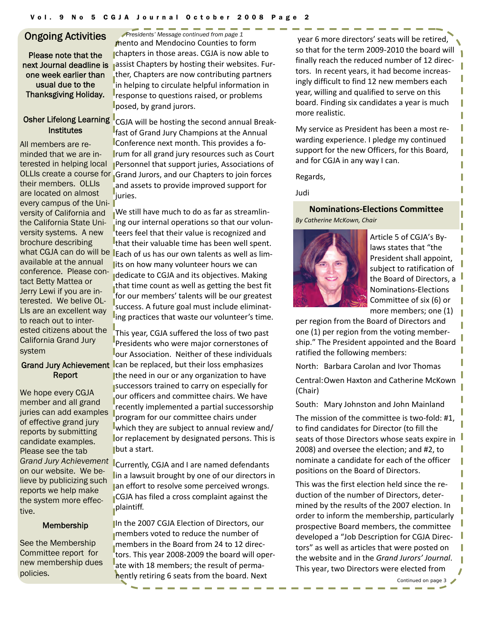Please note that the next Journal deadline is one week earlier than usual due to the Thanksgiving Holiday.

# **Institutes**

All members are reminded that we are interested in helping local their members. OLLIs are located on almost every campus of the University of California and the California State University systems. A new brochure describing available at the annual conference. Please contact Betty Mattea or Jerry Lewi if you are interested. We belive OL-LIs are an excellent way to reach out to interested citizens about the California Grand Jury system

#### Grand Jury Achievement Report

We hope every CGJA member and all grand juries can add examples of effective grand jury reports by submitting candidate examples. Please see the tab *Grand Jury Achievement* on our website. We believe by publicizing such reports we help make the system more effective.

#### Membership

See the Membership Committee report for new membership dues policies.

Ongoing Activities *Presidents' Message continued from page 1*  mento and Mendocino Counties to form chapters in those areas. CGJA is now able to assist Chapters by hosting their websites. Fur‐ ther, Chapters are now contributing partners in helping to circulate helpful information in response to questions raised, or problems posed, by grand jurors.

Osher Lifelong Learning CGJA will be hosting the second annual Break-OLLIs create a course for Grand Jurors, and our Chapters to join forces fast of Grand Jury Champions at the Annual Conference next month. This provides a fo‐ rum for all grand jury resources such as Court Personnel that support juries, Associations of and assets to provide improved support for iuries.

what CGJA can do will be I<sub>Each of us has our own talents as well as lim-</sub> We still have much to do as far as streamlin‐ ing our internal operations so that our volun‐ teers feel that their value is recognized and that their valuable time has been well spent. lits on how many volunteer hours we can dedicate to CGJA and its objectives. Making that time count as well as getting the best fit for our members' talents will be our greatest success. A future goal must include eliminat‐ ing practices that waste our volunteer's time.

> This year, CGJA suffered the loss of two past Presidents who were major cornerstones of our Association. Neither of these individuals can be replaced, but their loss emphasizes the need in our or any organization to have successors trained to carry on especially for our officers and committee chairs. We have recently implemented a partial successorship program for our committee chairs under which they are subject to annual review and/ or replacement by designated persons. This is but a start.

> Currently, CGJA and I are named defendants in a lawsuit brought by one of our directors in an effort to resolve some perceived wrongs. CGJA has filed a cross complaint against the plaintiff.

> In the 2007 CGJA Election of Directors, our members voted to reduce the number of members in the Board from 24 to 12 direc‐ tors. This year 2008‐2009 the board will oper‐ ate with 18 members; the result of permanently retiring 6 seats from the board. Next

year 6 more directors' seats will be retired, so that for the term 2009‐2010 the board will finally reach the reduced number of 12 direc‐ tors. In recent years, it had become increas‐ ingly difficult to find 12 new members each year, willing and qualified to serve on this board. Finding six candidates a year is much more realistic.

My service as President has been a most re‐ warding experience. I pledge my continued support for the new Officers, for this Board, and for CGJA in any way I can.

Regards,

Judi

**Nominations‐Elections Committee** *By Catherine McKown, Chair*



Article 5 of CGJA's By‐ laws states that "the President shall appoint, subject to ratification of the Board of Directors, a Nominations‐Elections Committee of six (6) or more members; one (1)

per region from the Board of Directors and one (1) per region from the voting member‐ ship." The President appointed and the Board ratified the following members:

North: Barbara Carolan and Ivor Thomas

Central:Owen Haxton and Catherine McKown (Chair)

South: Mary Johnston and John Mainland

The mission of the committee is two-fold: #1, to find candidates for Director (to fill the seats of those Directors whose seats expire in 2008) and oversee the election; and #2, to nominate a candidate for each of the officer positions on the Board of Directors.

This was the first election held since the re‐ duction of the number of Directors, deter‐ mined by the results of the 2007 election. In order to inform the membership, particularly prospective Board members, the committee developed a "Job Description for CGJA Direc‐ tors" as well as articles that were posted on the website and in the *Grand Jurors' Journal*. This year, two Directors were elected from

*Continued on page 3*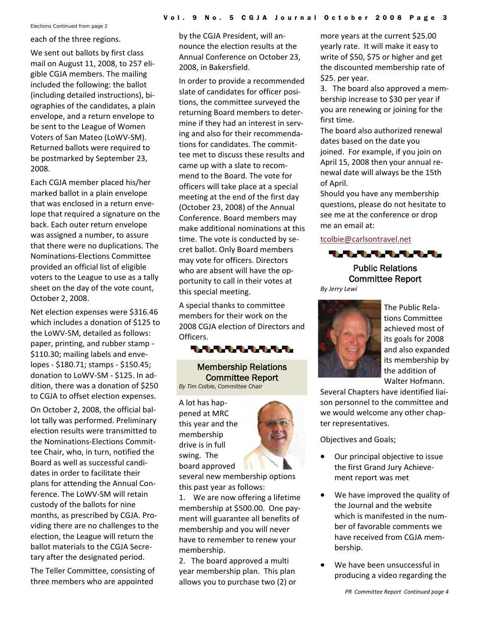*Elections Continued from page 2*

#### each of the three regions.

We sent out ballots by first class mail on August 11, 2008, to 257 eli‐ gible CGJA members. The mailing included the following: the ballot (including detailed instructions), bi‐ ographies of the candidates, a plain envelope, and a return envelope to be sent to the League of Women Voters of San Mateo (LoWV‐SM). Returned ballots were required to be postmarked by September 23, 2008.

Each CGJA member placed his/her marked ballot in a plain envelope that was enclosed in a return enve‐ lope that required a signature on the back. Each outer return envelope was assigned a number, to assure that there were no duplications. The Nominations‐Elections Committee provided an official list of eligible voters to the League to use as a tally sheet on the day of the vote count, October 2, 2008.

Net election expenses were \$316.46 which includes a donation of \$125 to the LoWV‐SM, detailed as follows: paper, printing, and rubber stamp ‐ \$110.30; mailing labels and envelopes ‐ \$180.71; stamps ‐ \$150.45; donation to LoWV‐SM ‐ \$125. In ad‐ dition, there was a donation of \$250 to CGJA to offset election expenses.

On October 2, 2008, the official bal‐ lot tally was performed. Preliminary election results were transmitted to the Nominations‐Elections Commit‐ tee Chair, who, in turn, notified the Board as well as successful candi‐ dates in order to facilitate their plans for attending the Annual Con‐ ference. The LoWV‐SM will retain custody of the ballots for nine months, as prescribed by CGJA. Pro‐ viding there are no challenges to the election, the League will return the ballot materials to the CGJA Secre‐ tary after the designated period.

The Teller Committee, consisting of three members who are appointed

by the CGJA President, will an‐ nounce the election results at the Annual Conference on October 23, 2008, in Bakersfield.

In order to provide a recommended slate of candidates for officer posi‐ tions, the committee surveyed the returning Board members to deter‐ mine if they had an interest in serv‐ ing and also for their recommenda‐ tions for candidates. The commit‐ tee met to discuss these results and came up with a slate to recom‐ mend to the Board. The vote for officers will take place at a special meeting at the end of the first day (October 23, 2008) of the Annual Conference. Board members may make additional nominations at this time. The vote is conducted by se‐ cret ballot. Only Board members may vote for officers. Directors who are absent will have the opportunity to call in their votes at this special meeting.

A special thanks to committee members for their work on the 2008 CGJA election of Directors and Officers.

#### 111111111

Membership Relations Committee Report *By Tim Colbie, Committee Chair* 

A lot has hap‐ pened at MRC this year and the membership drive is in full swing. The board approved



several new membership options this past year as follows:

1. We are now offering a lifetime membership at \$500.00. One pay‐ ment will guarantee all benefits of membership and you will never have to remember to renew your membership.

2. The board approved a multi year membership plan. This plan allows you to purchase two (2) or

more years at the current \$25.00 yearly rate. It will make it easy to write of \$50, \$75 or higher and get the discounted membership rate of \$25. per year.

3. The board also approved a mem‐ bership increase to \$30 per year if you are renewing or joining for the first time.

The board also authorized renewal dates based on the date you joined. For example, if you join on April 15, 2008 then your annual re‐ newal date will always be the 15th of April.

Should you have any membership questions, please do not hesitate to see me at the conference or drop me an email at:

[tcolbie@carlsontravel.net](mailto:tcolbie@carlsontravel.net)



### Public Relations Committee Report

*By Jerry Lewi*



The Public Rela‐ tions Committee achieved most of its goals for 2008 and also expanded its membership by the addition of Walter Hofmann.

Several Chapters have identified liai‐ son personnel to the committee and we would welcome any other chap‐ ter representatives.

Objectives and Goals;

- Our principal objective to issue the first Grand Jury Achieve‐ ment report was met
- We have improved the quality of the Journal and the website which is manifested in the number of favorable comments we have received from CGJA mem‐ bership.
- We have been unsuccessful in producing a video regarding the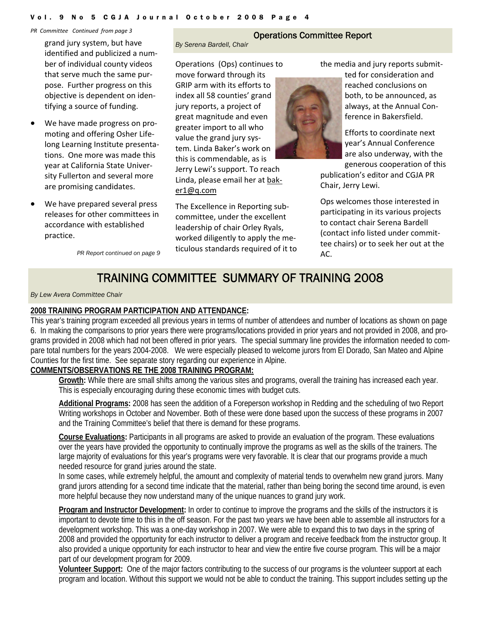#### Vol. 9 No 5 CGJA Journal October 2008 Page 4

#### *PR Committee Continued from page 3*

grand jury system, but have identified and publicized a num‐ ber of individual county videos that serve much the same pur‐ pose. Further progress on this objective is dependent on iden‐ tifying a source of funding.

- We have made progress on promoting and offering Osher Life‐ long Learning Institute presenta‐ tions. One more was made this year at California State Univer‐ sity Fullerton and several more are promising candidates.
- We have prepared several press releases for other committees in accordance with established practice.

*PR Report continued on page 9* accuracy starting to require to the to

#### Operations Committee Report

*By Serena Bardell, Chair* 

Operations (Ops) continues to move forward through its GRIP arm with its efforts to index all 58 counties' grand jury reports, a project of great magnitude and even greater import to all who value the grand jury sys‐ tem. Linda Baker's work on this is commendable, as is Jerry Lewi's support. To reach Linda, please email her at bak‐ er1@q.com

The Excellence in Reporting sub‐ committee, under the excellent leadership of chair Orley Ryals, worked diligently to apply the me‐ ticulous standards required of it to the media and jury reports submit‐ ted for consideration and reached conclusions on

both, to be announced, as always, at the Annual Con‐ ference in Bakersfield.

Efforts to coordinate next year's Annual Conference are also underway, with the generous cooperation of this

publication's editor and CGJA PR Chair, Jerry Lewi.

Ops welcomes those interested in participating in its various projects to contact chair Serena Bardell (contact info listed under commit‐ tee chairs) or to seek her out at the

## TRAINING COMMITTEE SUMMARY OF TRAINING 2008

#### *By Lew Avera Committee Chair*

#### **2008 TRAINING PROGRAM PARTICIPATION AND ATTENDANCE:**

This year's training program exceeded all previous years in terms of number of attendees and number of locations as shown on page 6. In making the comparisons to prior years there were programs/locations provided in prior years and not provided in 2008, and programs provided in 2008 which had not been offered in prior years. The special summary line provides the information needed to compare total numbers for the years 2004-2008. We were especially pleased to welcome jurors from El Dorado, San Mateo and Alpine Counties for the first time. See separate story regarding our experience in Alpine.

#### **COMMENTS/OBSERVATIONS RE THE 2008 TRAINING PROGRAM:**

**Growth:** While there are small shifts among the various sites and programs, overall the training has increased each year. This is especially encouraging during these economic times with budget cuts.

**Additional Programs:** 2008 has seen the addition of a Foreperson workshop in Redding and the scheduling of two Report Writing workshops in October and November. Both of these were done based upon the success of these programs in 2007 and the Training Committee's belief that there is demand for these programs.

**Course Evaluations:** Participants in all programs are asked to provide an evaluation of the program. These evaluations over the years have provided the opportunity to continually improve the programs as well as the skills of the trainers. The large majority of evaluations for this year's programs were very favorable. It is clear that our programs provide a much needed resource for grand juries around the state.

In some cases, while extremely helpful, the amount and complexity of material tends to overwhelm new grand jurors. Many grand jurors attending for a second time indicate that the material, rather than being boring the second time around, is even more helpful because they now understand many of the unique nuances to grand jury work.

**Program and Instructor Development:** In order to continue to improve the programs and the skills of the instructors it is important to devote time to this in the off season. For the past two years we have been able to assemble all instructors for a development workshop. This was a one-day workshop in 2007. We were able to expand this to two days in the spring of 2008 and provided the opportunity for each instructor to deliver a program and receive feedback from the instructor group. It also provided a unique opportunity for each instructor to hear and view the entire five course program. This will be a major part of our development program for 2009.

**Volunteer Support:** One of the major factors contributing to the success of our programs is the volunteer support at each program and location. Without this support we would not be able to conduct the training. This support includes setting up the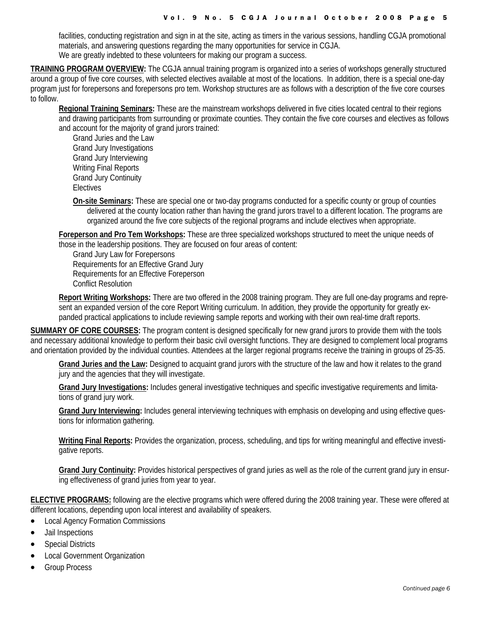facilities, conducting registration and sign in at the site, acting as timers in the various sessions, handling CGJA promotional materials, and answering questions regarding the many opportunities for service in CGJA. We are greatly indebted to these volunteers for making our program a success.

**TRAINING PROGRAM OVERVIEW:** The CGJA annual training program is organized into a series of workshops generally structured around a group of five core courses, with selected electives available at most of the locations. In addition, there is a special one-day program just for forepersons and forepersons pro tem. Workshop structures are as follows with a description of the five core courses to follow.

**Regional Training Seminars:** These are the mainstream workshops delivered in five cities located central to their regions and drawing participants from surrounding or proximate counties. They contain the five core courses and electives as follows and account for the majority of grand jurors trained:

Grand Juries and the Law Grand Jury Investigations Grand Jury Interviewing Writing Final Reports Grand Jury Continuity Electives

**On-site Seminars:** These are special one or two-day programs conducted for a specific county or group of counties delivered at the county location rather than having the grand jurors travel to a different location. The programs are organized around the five core subjects of the regional programs and include electives when appropriate.

**Foreperson and Pro Tem Workshops:** These are three specialized workshops structured to meet the unique needs of those in the leadership positions. They are focused on four areas of content:

Grand Jury Law for Forepersons Requirements for an Effective Grand Jury Requirements for an Effective Foreperson Conflict Resolution

**Report Writing Workshops:** There are two offered in the 2008 training program. They are full one-day programs and represent an expanded version of the core Report Writing curriculum. In addition, they provide the opportunity for greatly expanded practical applications to include reviewing sample reports and working with their own real-time draft reports.

**SUMMARY OF CORE COURSES:** The program content is designed specifically for new grand jurors to provide them with the tools and necessary additional knowledge to perform their basic civil oversight functions. They are designed to complement local programs and orientation provided by the individual counties. Attendees at the larger regional programs receive the training in groups of 25-35.

**Grand Juries and the Law:** Designed to acquaint grand jurors with the structure of the law and how it relates to the grand jury and the agencies that they will investigate.

**Grand Jury Investigations:** Includes general investigative techniques and specific investigative requirements and limitations of grand jury work.

**Grand Jury Interviewing:** Includes general interviewing techniques with emphasis on developing and using effective questions for information gathering.

**Writing Final Reports:** Provides the organization, process, scheduling, and tips for writing meaningful and effective investigative reports.

**Grand Jury Continuity:** Provides historical perspectives of grand juries as well as the role of the current grand jury in ensuring effectiveness of grand juries from year to year.

**ELECTIVE PROGRAMS:** following are the elective programs which were offered during the 2008 training year. These were offered at different locations, depending upon local interest and availability of speakers.

- Local Agency Formation Commissions
- Jail Inspections
- **Special Districts**
- Local Government Organization
- **Group Process**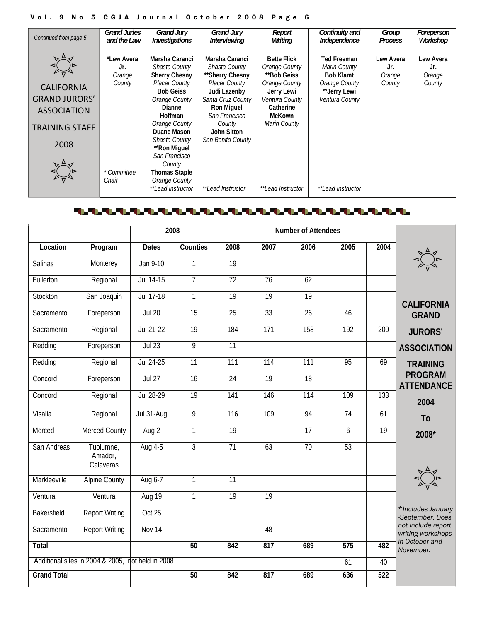#### Vol. 9 No 5 CGJA Journal October 2008 Page 6

| <b>Grand Juries</b>                  | <b>Grand Jury</b>             | <b>Grand Jury</b>    | Report                   | Continuity and           | Group          | Foreperson |
|--------------------------------------|-------------------------------|----------------------|--------------------------|--------------------------|----------------|------------|
| Continued from page 5<br>and the Law | Investigations                | Interviewing         | Writing                  | Independence             | <b>Process</b> | Workshop   |
|                                      |                               |                      |                          |                          |                |            |
| *Lew Avera                           | Marsha Caranci                | Marsha Caranci       | <b>Bette Flick</b>       | <b>Ted Freeman</b>       | Lew Avera      | Lew Avera  |
| Jr.                                  | Shasta County                 | Shasta County        | Orange County            | Marin County             | Jr.            | Jr.        |
| Orange                               | <b>Sherry Chesny</b>          | **Sherry Chesny      | **Bob Geiss              | <b>Bob Klamt</b>         | Orange         | Orange     |
| County                               | Placer County                 | <b>Placer County</b> | Orange County            | Orange County            | County         | County     |
| <b>CALIFORNIA</b>                    | <b>Bob Geiss</b>              | Judi Lazenby         | Jerry Lewi               | **Jerry Lewi             |                |            |
| <b>GRAND JURORS'</b>                 | Orange County                 | Santa Cruz County    | Ventura County           | Ventura County           |                |            |
| <b>ASSOCIATION</b>                   | Dianne                        | <b>Ron Miguel</b>    | Catherine                |                          |                |            |
|                                      | <b>Hoffman</b>                | San Francisco        | <b>McKown</b>            |                          |                |            |
| <b>TRAINING STAFF</b>                | Orange County                 | County               | Marin County             |                          |                |            |
|                                      | Duane Mason                   | John Sitton          |                          |                          |                |            |
| 2008                                 | Shasta County<br>**Ron Miquel | San Benito County    |                          |                          |                |            |
|                                      | San Francisco                 |                      |                          |                          |                |            |
|                                      | County                        |                      |                          |                          |                |            |
| * Committee                          | <b>Thomas Staple</b>          |                      |                          |                          |                |            |
| Chair                                | Orange County                 |                      |                          |                          |                |            |
|                                      | **Lead Instructor             | **Lead Instructor    | <i>**Lead Instructor</i> | <i>**Lead Instructor</i> |                |            |

#### 

|                    |                                                   | 2008          |                 |                  |                 | <b>Number of Attendees</b> |                  |                  |                                         |
|--------------------|---------------------------------------------------|---------------|-----------------|------------------|-----------------|----------------------------|------------------|------------------|-----------------------------------------|
| Location           | Program                                           | <b>Dates</b>  | Counties        | 2008             | 2007            | 2006                       | 2005             | 2004             |                                         |
| <b>Salinas</b>     | Monterey                                          | Jan 9-10      | 1               | $\overline{19}$  |                 |                            |                  |                  |                                         |
| Fullerton          | Regional                                          | Jul 14-15     | $\overline{7}$  | $\overline{72}$  | 76              | 62                         |                  |                  |                                         |
| Stockton           | San Joaquin                                       | Jul 17-18     | $\mathbf{1}$    | $\overline{19}$  | $\overline{19}$ | 19                         |                  |                  | <b>CALIFORNIA</b>                       |
| Sacramento         | Foreperson                                        | <b>Jul 20</b> | $\overline{15}$ | $\overline{25}$  | 33              | $\overline{26}$            | 46               |                  | <b>GRAND</b>                            |
| Sacramento         | Regional                                          | Jul 21-22     | 19              | 184              | 171             | 158                        | $\overline{192}$ | 200              | <b>JURORS'</b>                          |
| Redding            | Foreperson                                        | Jul 23        | 9               | $\overline{11}$  |                 |                            |                  |                  | <b>ASSOCIATION</b>                      |
| Redding            | Regional                                          | Jul 24-25     | $\overline{11}$ | $\overline{111}$ | 114             | $\overline{111}$           | 95               | 69               | <b>TRAINING</b>                         |
| Concord            | Foreperson                                        | <b>Jul 27</b> | 16              | 24               | 19              | 18                         |                  |                  | <b>PROGRAM</b><br><b>ATTENDANCE</b>     |
| Concord            | Regional                                          | Jul 28-29     | $\overline{19}$ | 141              | 146             | 114                        | 109              | 133              | 2004                                    |
| Visalia            | Regional                                          | Jul 31-Aug    | 9               | 116              | 109             | 94                         | 74               | 61               | <b>To</b>                               |
| Merced             | <b>Merced County</b>                              | Aug $2$       | $\overline{1}$  | $\overline{19}$  |                 | 17                         | 6                | 19               | 2008*                                   |
| San Andreas        | Tuolumne,<br>Amador,<br>Calaveras                 | Aug 4-5       | $\overline{3}$  | 71               | 63              | 70                         | 53               |                  |                                         |
| Markleeville       | <b>Alpine County</b>                              | Aug 6-7       | $\overline{1}$  | $\overline{11}$  |                 |                            |                  |                  |                                         |
| Ventura            | Ventura                                           | Aug 19        | $\mathbf{1}$    | 19               | $\overline{19}$ |                            |                  |                  |                                         |
| Bakersfield        | <b>Report Writing</b>                             | Oct 25        |                 |                  |                 |                            |                  |                  | *Includes January<br>-September. Does   |
| Sacramento         | <b>Report Writing</b>                             | Nov 14        |                 |                  | 48              |                            |                  |                  | not include report<br>writing workshops |
| Total              |                                                   |               | $\overline{50}$ | 842              | 817             | 689                        | 575              | 482              | in October and<br>November.             |
|                    | Additional sites in 2004 & 2005, not held in 2008 |               |                 |                  |                 |                            | 61               | 40               |                                         |
| <b>Grand Total</b> |                                                   |               | $\overline{50}$ | 842              | 817             | 689                        | 636              | $\overline{522}$ |                                         |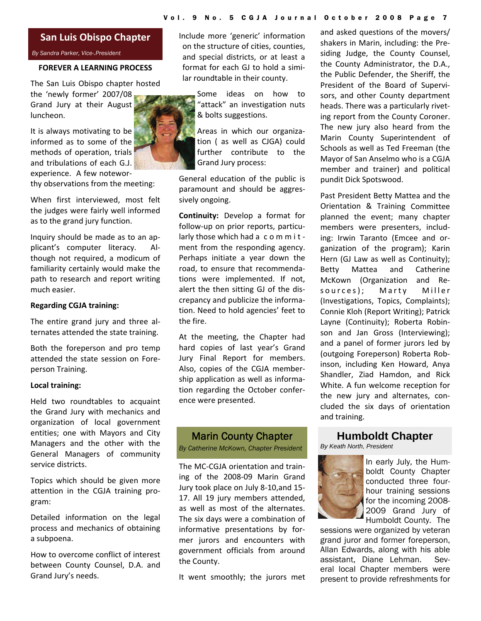#### **San Luis Obispo Chapter**

*By Sandra Parker, Vice-.President* 

#### **FOREVER A LEARNING PROCESS**

The San Luis Obispo chapter hosted the 'newly former' 2007/08

Grand Jury at their August luncheon.

It is always motivating to be informed as to some of the methods of operation, trials and tribulations of each G.J. experience. A few notewor‐ thy observations from the meeting:

When first interviewed, most felt the judges were fairly well informed as to the grand jury function.

Inquiry should be made as to an ap‐ plicant's computer literacy. Al‐ though not required, a modicum of familiarity certainly would make the path to research and report writing much easier.

#### **Regarding CGJA training:**

The entire grand jury and three al‐ ternates attended the state training.

Both the foreperson and pro temp attended the state session on Fore‐ person Training.

#### **Local training:**

Held two roundtables to acquaint the Grand Jury with mechanics and organization of local government entities; one with Mayors and City Managers and the other with the General Managers of community service districts.

Topics which should be given more attention in the CGJA training pro‐ gram:

Detailed information on the legal process and mechanics of obtaining a subpoena.

How to overcome conflict of interest between County Counsel, D.A. and Grand Jury's needs.

Include more 'generic' information on the structure of cities, counties, and special districts, or at least a format for each GJ to hold a simi‐ lar roundtable in their county.

> Some ideas on how to "attack" an investigation nuts & bolts suggestions.

Areas in which our organiza‐ tion ( as well as CJGA) could further contribute to the Grand Jury process:

General education of the public is paramount and should be aggres‐ sively ongoing.

**Continuity:** Develop a format for follow-up on prior reports, particularly those which had a commitment from the responding agency. Perhaps initiate a year down the road, to ensure that recommenda‐ tions were implemented. If not, alert the then sitting GJ of the dis‐ crepancy and publicize the informa‐ tion. Need to hold agencies' feet to the fire.

At the meeting, the Chapter had hard copies of last year's Grand Jury Final Report for members. Also, copies of the CGJA member‐ ship application as well as informa‐ tion regarding the October confer‐ ence were presented.

#### Marin County Chapter

*By Catherine McKown, Chapter President* 

The MC‐CGJA orientation and train‐ ing of the 2008‐09 Marin Grand Jury took place on July 8‐10,and 15‐ 17. All 19 jury members attended, as well as most of the alternates. The six days were a combination of informative presentations by for‐ mer jurors and encounters with government officials from around the County.

It went smoothly; the jurors met

and asked questions of the movers/ shakers in Marin, including: the Pre‐ siding Judge, the County Counsel, the County Administrator, the D.A., the Public Defender, the Sheriff, the President of the Board of Supervi‐ sors, and other County department heads. There was a particularly rivet‐ ing report from the County Coroner. The new jury also heard from the Marin County Superintendent of Schools as well as Ted Freeman (the Mayor of San Anselmo who is a CGJA member and trainer) and political pundit Dick Spotswood.

Past President Betty Mattea and the Orientation & Training Committee planned the event; many chapter members were presenters, includ‐ ing: Irwin Taranto (Emcee and or‐ ganization of the program); Karin Hern (GJ Law as well as Continuity); Betty Mattea and Catherine McKown (Organization and Re‐ sources); Marty Miller (Investigations, Topics, Complaints); Connie Kloh (Report Writing); Patrick Layne (Continuity); Roberta Robin‐ son and Jan Gross (Interviewing); and a panel of former jurors led by (outgoing Foreperson) Roberta Rob‐ inson, including Ken Howard, Anya Shandler, Ziad Hamdon, and Rick White. A fun welcome reception for the new jury and alternates, con‐ cluded the six days of orientation and training.

#### **Humboldt Chapter**

*By Keath North, President* 



In early July, the Humboldt County Chapter conducted three fourhour training sessions for the incoming 2008- 2009 Grand Jury of Humboldt County. The

sessions were organized by veteran grand juror and former foreperson, Allan Edwards, along with his able assistant, Diane Lehman. Several local Chapter members were present to provide refreshments for

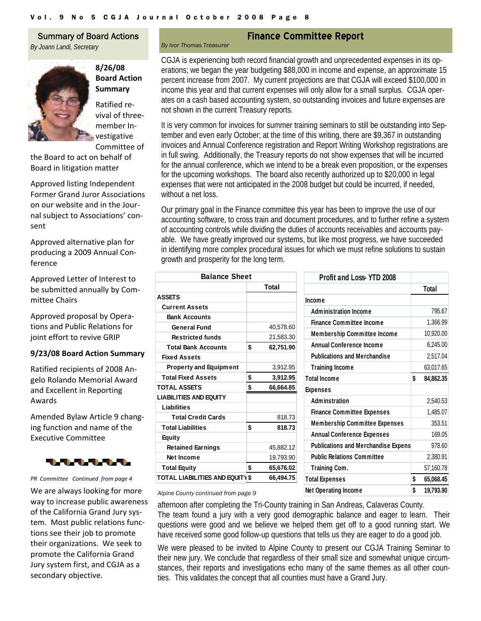*By Ivor Thomas Treasurer* 

#### Summary of Board Actions

*By Joann Landi, Secretary* 



**8/26/08 Board Action Summary** Ratified re‐

vival of three‐ member In‐ vestigative Committee of

the Board to act on behalf of Board in litigation matter

Approved listing Independent Former Grand Juror Associations on our website and in the Jour‐ nal subject to Associations' con‐ sent

Approved alternative plan for producing a 2009 Annual Con‐ ference

Approved Letter of Interest to be submitted annually by Com‐ mittee Chairs

Approved proposal by Opera‐ tions and Public Relations for joint effort to revive GRIP

#### **9/23/08 Board Action Summary**

Ratified recipients of 2008 An‐ gelo Rolando Memorial Award and Excellent in Reporting Awards

Amended Bylaw Article 9 chang‐ ing function and name of the Executive Committee



#### *PR Committee Continued from page 4*

We are always looking for more way to increase public awareness of the California Grand Jury sys‐ tem. Most public relations func‐ tions see their job to promote their organizations. We seek to promote the California Grand Jury system first, and CGJA as a secondary objective.

#### **Finance Committee Report**

CGJA is experiencing both record financial growth and unprecedented expenses in its operations; we began the year budgeting \$88,000 in income and expense, an approximate 15 percent increase from 2007. My current projections are that CGJA will exceed \$100,000 in income this year and that current expenses will only allow for a small surplus. CGJA operates on a cash based accounting system, so outstanding invoices and future expenses are not shown in the current Treasury reports.

It is very common for invoices for summer training seminars to still be outstanding into September and even early October; at the time of this writing, there are \$9,367 in outstanding invoices and Annual Conference registration and Report Writing Workshop registrations are in full swing. Additionally, the Treasury reports do not show expenses that will be incurred for the annual conference, which we intend to be a break even proposition, or the expenses for the upcoming workshops. The board also recently authorized up to \$20,000 in legal expenses that were not anticipated in the 2008 budget but could be incurred, if needed, without a net loss.

Our primary goal in the Finance committee this year has been to improve the use of our accounting software, to cross train and document procedures, and to further refine a system of accounting controls while dividing the duties of accounts receivables and accounts payable. We have greatly improved our systems, but like most progress, we have succeeded in identifying more complex procedural issues for which we must refine solutions to sustain growth and prosperity for the long term.

| Total<br><b>ASSETS</b><br>Income<br><b>Current Assets</b><br><b>Administration Income</b><br><b>Bank Accounts</b><br><b>Finance Committee Income</b><br>40,578.60<br><b>General Fund</b><br><b>Membership Committee Income</b><br>21,583.30<br><b>Restricted funds</b><br><b>Annual Conference Income</b><br>\$<br>62,751.90<br><b>Total Bank Accounts</b><br><b>Publications and Merchandise</b><br><b>Fixed Assets</b><br>3,912.95<br><b>Training Income</b><br><b>Property and Equipment</b> | <b>Profit and Loss-YTD 2008</b> |
|-------------------------------------------------------------------------------------------------------------------------------------------------------------------------------------------------------------------------------------------------------------------------------------------------------------------------------------------------------------------------------------------------------------------------------------------------------------------------------------------------|---------------------------------|
|                                                                                                                                                                                                                                                                                                                                                                                                                                                                                                 |                                 |
|                                                                                                                                                                                                                                                                                                                                                                                                                                                                                                 |                                 |
|                                                                                                                                                                                                                                                                                                                                                                                                                                                                                                 |                                 |
|                                                                                                                                                                                                                                                                                                                                                                                                                                                                                                 |                                 |
|                                                                                                                                                                                                                                                                                                                                                                                                                                                                                                 |                                 |
|                                                                                                                                                                                                                                                                                                                                                                                                                                                                                                 |                                 |
|                                                                                                                                                                                                                                                                                                                                                                                                                                                                                                 |                                 |
|                                                                                                                                                                                                                                                                                                                                                                                                                                                                                                 |                                 |
|                                                                                                                                                                                                                                                                                                                                                                                                                                                                                                 |                                 |
| \$<br><b>Total Fixed Assets</b><br>3,912.95<br><b>Total Income</b>                                                                                                                                                                                                                                                                                                                                                                                                                              |                                 |
| \$<br><b>TOTAL ASSETS</b><br>66,664.85<br><b>Expenses</b>                                                                                                                                                                                                                                                                                                                                                                                                                                       |                                 |
| <b>LIABILITIES AND EQUITY</b><br><b>Adminstration</b>                                                                                                                                                                                                                                                                                                                                                                                                                                           |                                 |
| Liabilities<br><b>Finance Committee Expenses</b>                                                                                                                                                                                                                                                                                                                                                                                                                                                |                                 |
| 818.73<br>Total Credit Cards                                                                                                                                                                                                                                                                                                                                                                                                                                                                    |                                 |
| <b>Membership Committee Expens</b><br>\$<br><b>Total Liabilities</b><br>818.73                                                                                                                                                                                                                                                                                                                                                                                                                  |                                 |
| <b>Annual Conference Expenses</b><br>Equity                                                                                                                                                                                                                                                                                                                                                                                                                                                     |                                 |
| <b>Publications and Merchandise E</b><br>45,882.12<br><b>Retained Earnings</b>                                                                                                                                                                                                                                                                                                                                                                                                                  |                                 |
| <b>Public Relations Committee</b><br>19,793.90<br>Net Income                                                                                                                                                                                                                                                                                                                                                                                                                                    |                                 |
| <b>Total Equity</b><br>\$<br>65,676.02<br><b>Training Com.</b>                                                                                                                                                                                                                                                                                                                                                                                                                                  |                                 |
| TOTAL LIABILITIES AND EQUITY\$<br>66,494.75<br><b>Total Expenses</b>                                                                                                                                                                                                                                                                                                                                                                                                                            |                                 |

| Profit and Loss-YTD 2008                   |                 |
|--------------------------------------------|-----------------|
|                                            | Total           |
| Income                                     |                 |
| <b>Administration Income</b>               | 795.67          |
| <b>Finance Committee Income</b>            | 1,366.99        |
| <b>Membership Committee Income</b>         | 10,920.00       |
| <b>Annual Conference Income</b>            | 6,245.00        |
| <b>Publications and Merchandise</b>        | 2,517.04        |
| <b>Training Income</b>                     | 63,017.65       |
| <b>Total Income</b>                        | \$<br>84,862.35 |
| <b>Expenses</b>                            |                 |
| <b>Adminstration</b>                       | 2,540.53        |
| <b>Finance Committee Expenses</b>          | 1,485.07        |
| <b>Membership Committee Expenses</b>       | 353.51          |
| <b>Annual Conference Expenses</b>          | 169.05          |
| <b>Publications and Merchandise Expens</b> | 978.60          |
| <b>Public Relations Committee</b>          | 2,380.91        |
| <b>Training Com.</b>                       | 57,160.78       |
| <b>Total Expenses</b>                      | \$<br>65,068.45 |
| Net Operating Income                       | \$<br>19.793.90 |

Alpine County continued from page 9

afternoon after completing the Tri-County training in San Andreas, Calaveras County. The team found a jury with a very good demographic balance and eager to learn. Their questions were good and we believe we helped them get off to a good running start. We have received some good follow-up questions that tells us they are eager to do a good job.

We were pleased to be invited to Alpine County to present our CGJA Training Seminar to their new jury. We conclude that regardless of their small size and somewhat unique circumstances, their reports and investigations echo many of the same themes as all other counties. This validates the concept that all counties must have a Grand Jury.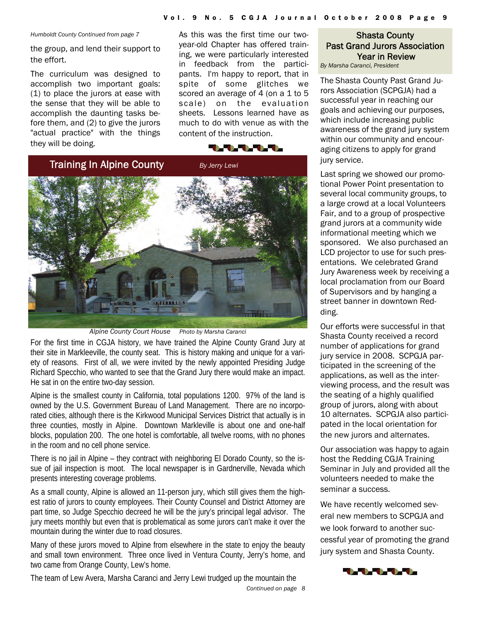*Humboldt County Continued from page 7* 

the group, and lend their support to the effort.

The curriculum was designed to accomplish two important goals: (1) to place the jurors at ease with the sense that they will be able to accomplish the daunting tasks before them, and (2) to give the jurors "actual practice" with the things they will be doing.

As this was the first time our twoyear-old Chapter has offered training, we were particularly interested in feedback from the participants. I'm happy to report, that in spite of some glitches we scored an average of 4 (on a 1 to 5 scale) on the evaluation sheets. Lessons learned have as much to do with venue as with the content of the instruction.





*Alpine County Court House Photo by Marsha Caranci*

For the first time in CGJA history, we have trained the Alpine County Grand Jury at their site in Markleeville, the county seat. This is history making and unique for a variety of reasons. First of all, we were invited by the newly appointed Presiding Judge Richard Specchio, who wanted to see that the Grand Jury there would make an impact. He sat in on the entire two-day session.

Alpine is the smallest county in California, total populations 1200. 97% of the land is owned by the U.S. Government Bureau of Land Management. There are no incorporated cities, although there is the Kirkwood Municipal Services District that actually is in three counties, mostly in Alpine. Downtown Markleville is about one and one-half blocks, population 200. The one hotel is comfortable, all twelve rooms, with no phones in the room and no cell phone service.

There is no jail in Alpine – they contract with neighboring El Dorado County, so the issue of jail inspection is moot. The local newspaper is in Gardnerville, Nevada which presents interesting coverage problems.

As a small county, Alpine is allowed an 11-person jury, which still gives them the highest ratio of jurors to county employees. Their County Counsel and District Attorney are part time, so Judge Specchio decreed he will be the jury's principal legal advisor. The jury meets monthly but even that is problematical as some jurors can't make it over the mountain during the winter due to road closures.

Many of these jurors moved to Alpine from elsewhere in the state to enjoy the beauty and small town environment. Three once lived in Ventura County, Jerry's home, and two came from Orange County, Lew's home.

*Continued on page 8*  The team of Lew Avera, Marsha Caranci and Jerry Lewi trudged up the mountain the

#### Shasta County Past Grand Jurors Association Year in Review

*By Marsha Caranci, President* 

The Shasta County Past Grand Jurors Association (SCPGJA) had a successful year in reaching our goals and achieving our purposes, which include increasing public awareness of the grand jury system within our community and encouraging citizens to apply for grand jury service.

Last spring we showed our promotional Power Point presentation to several local community groups, to a large crowd at a local Volunteers Fair, and to a group of prospective grand jurors at a community wide informational meeting which we sponsored. We also purchased an LCD projector to use for such presentations. We celebrated Grand Jury Awareness week by receiving a local proclamation from our Board of Supervisors and by hanging a street banner in downtown Redding.

Our efforts were successful in that Shasta County received a record number of applications for grand jury service in 2008. SCPGJA participated in the screening of the applications, as well as the interviewing process, and the result was the seating of a highly qualified group of jurors, along with about 10 alternates. SCPGJA also participated in the local orientation for the new jurors and alternates.

Our association was happy to again host the Redding CGJA Training Seminar in July and provided all the volunteers needed to make the seminar a success.

We have recently welcomed several new members to SCPGJA and we look forward to another successful year of promoting the grand jury system and Shasta County.

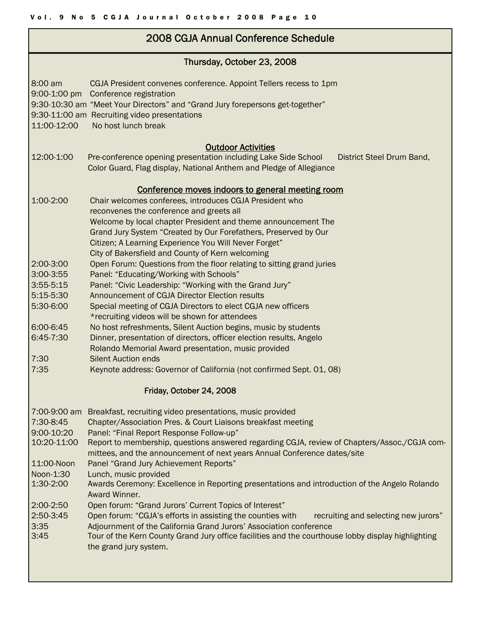### 2008 CGJA Annual Conference Schedule

| Thursday, October 23, 2008 |                                                                                                                          |  |  |  |  |  |
|----------------------------|--------------------------------------------------------------------------------------------------------------------------|--|--|--|--|--|
| 8:00 am                    | CGJA President convenes conference. Appoint Tellers recess to 1pm<br>9:00-1:00 pm Conference registration                |  |  |  |  |  |
|                            | 9:30-10:30 am "Meet Your Directors" and "Grand Jury forepersons get-together"                                            |  |  |  |  |  |
|                            | 9:30-11:00 am Recruiting video presentations                                                                             |  |  |  |  |  |
| 11:00-12:00                | No host lunch break                                                                                                      |  |  |  |  |  |
|                            |                                                                                                                          |  |  |  |  |  |
| 12:00-1:00                 | <b>Outdoor Activities</b><br>Pre-conference opening presentation including Lake Side School<br>District Steel Drum Band, |  |  |  |  |  |
|                            | Color Guard, Flag display, National Anthem and Pledge of Allegiance                                                      |  |  |  |  |  |
|                            |                                                                                                                          |  |  |  |  |  |
|                            | Conference moves indoors to general meeting room                                                                         |  |  |  |  |  |
| 1:00-2:00                  | Chair welcomes conferees, introduces CGJA President who                                                                  |  |  |  |  |  |
|                            | reconvenes the conference and greets all                                                                                 |  |  |  |  |  |
|                            | Welcome by local chapter President and theme announcement The                                                            |  |  |  |  |  |
|                            | Grand Jury System "Created by Our Forefathers, Preserved by Our                                                          |  |  |  |  |  |
|                            | Citizen; A Learning Experience You Will Never Forget"                                                                    |  |  |  |  |  |
|                            | City of Bakersfield and County of Kern welcoming                                                                         |  |  |  |  |  |
| 2:00-3:00                  | Open Forum: Questions from the floor relating to sitting grand juries                                                    |  |  |  |  |  |
| 3:00-3:55                  | Panel: "Educating/Working with Schools"                                                                                  |  |  |  |  |  |
| 3:55-5:15                  | Panel: "Civic Leadership: "Working with the Grand Jury"                                                                  |  |  |  |  |  |
| 5:15-5:30                  | Announcement of CGJA Director Election results                                                                           |  |  |  |  |  |
| 5:30-6:00                  | Special meeting of CGJA Directors to elect CGJA new officers                                                             |  |  |  |  |  |
|                            | *recruiting videos will be shown for attendees                                                                           |  |  |  |  |  |
| 6:00-6:45                  | No host refreshments, Silent Auction begins, music by students                                                           |  |  |  |  |  |
|                            | 6:45-7:30<br>Dinner, presentation of directors, officer election results, Angelo                                         |  |  |  |  |  |
|                            | Rolando Memorial Award presentation, music provided                                                                      |  |  |  |  |  |
| 7:30                       | <b>Silent Auction ends</b>                                                                                               |  |  |  |  |  |
| 7:35                       | Keynote address: Governor of California (not confirmed Sept. 01, 08)                                                     |  |  |  |  |  |
| Friday, October 24, 2008   |                                                                                                                          |  |  |  |  |  |
| 7:00-9:00 am               | Breakfast, recruiting video presentations, music provided                                                                |  |  |  |  |  |
| 7:30-8:45                  | Chapter/Association Pres. & Court Liaisons breakfast meeting                                                             |  |  |  |  |  |
| 9:00-10:20                 | Panel: "Final Report Response Follow-up"                                                                                 |  |  |  |  |  |
| 10:20-11:00                | Report to membership, questions answered regarding CGJA, review of Chapters/Assoc./CGJA com-                             |  |  |  |  |  |
|                            | mittees, and the announcement of next years Annual Conference dates/site                                                 |  |  |  |  |  |
| 11:00-Noon                 | Panel "Grand Jury Achievement Reports"                                                                                   |  |  |  |  |  |
| Noon-1:30                  | Lunch, music provided                                                                                                    |  |  |  |  |  |
| 1:30-2:00                  | Awards Ceremony: Excellence in Reporting presentations and introduction of the Angelo Rolando                            |  |  |  |  |  |
|                            | Award Winner.                                                                                                            |  |  |  |  |  |
| $2:00-2:50$                | Open forum: "Grand Jurors' Current Topics of Interest"                                                                   |  |  |  |  |  |
| 2:50-3:45                  | Open forum: "CGJA's efforts in assisting the counties with<br>recruiting and selecting new jurors"                       |  |  |  |  |  |
| 3:35                       | Adjournment of the California Grand Jurors' Association conference                                                       |  |  |  |  |  |
| 3:45                       | Tour of the Kern County Grand Jury office facilities and the courthouse lobby display highlighting                       |  |  |  |  |  |
|                            | the grand jury system.                                                                                                   |  |  |  |  |  |
|                            |                                                                                                                          |  |  |  |  |  |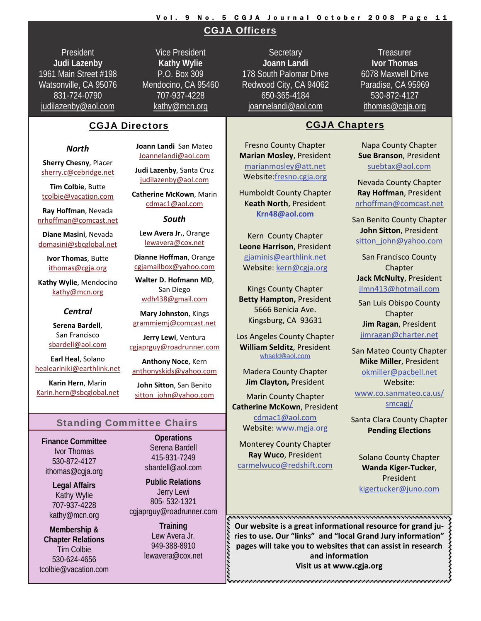#### Vol. 9 No. 5 CGJA Journal October 2008 Page 11

#### CGJA Officers

President **Judi Lazenby** 1961 Main Street #198 Watsonville, CA 95076 831-724-0790 judilazenby@aol.com

Vice President **Kathy Wylie** P.O. Box 309 Mendocino, CA 95460 707-937-4228 kathy@mcn.org

#### CGJA Directors and CGJA Chapters

#### *North*

**Sherry Chesny**, Placer [sherry.c@cebridge.net](mailto:sherry.c@cebridge.net)

**Tim Colbie**, Butte [tcolbie@vacation.com](mailto:tcolbie@vacation.com)

**Ray Hoffman**, Nevada [nrhoffman@comcast.net](mailto:nrhoffman@comcast.net)

**Diane Masini**, Nevada [domasini@sbcglobal.net](mailto:domasini@sbcglobal.net)

> **Ivor Thomas**, Butte [ithomas@cgja.org](mailto:ithomas@cgja.org)

**Kathy Wylie**, Mendocino [kathy@mcn.org](mailto:kathy@mcn.org)

#### *Central*

**Serena Bardell**, San Francisco [sbardell@aol.com](mailto:sbardell@aol.com)

**Earl Heal**, Solano [healearlniki@earthlink.net](mailto:healearlniki@earthlink.net)

**Karin Hern**, Marin [Karin.hern@sbcglobal.net](mailto:Karin.hern@sbcglobal.net) **Joann Landi** San Mateo [Joannelandi@aol.com](mailto:Joannelandi@aol.com)

**Judi Lazenby**, Santa Cruz [judilazenby@aol.com](mailto:judilazenby@aol.com)

**Catherine McKown**, Marin [cdmac1@aol.com](mailto:cdmac1@aol.com)

*South*

**Lew Avera Jr.**, Orange [lewavera@cox.net](mailto:lewavera@cox.net)

**Dianne Hoffman**, Orange [cgjamailbox@yahoo.com](mailto:cgjamailbox@yahoo.com)

**Walter D. Hofmann MD**, San Diego [wdh438@gmail.com](mailto:wdh438@gmail.com)

**Mary Johnston**, Kings [grammiemj@comcast.net](mailto:grammiemj@comcast.net)

**Jerry Lewi**, Ventura [cgjaprguy@roadrunner.com](mailto:cgjaprguy@roadrunner.com)

**Anthony Noce**, Kern [anthonyskids@yahoo.com](mailto:anthonyskids@yahoo.com)

**John Sitton**, San Benito [sitton\\_john@yahoo.com](mailto:sitton_john@yahoo.com)

#### Standing Committee Chairs

**Finance Committee**  Ivor Thomas 530-872-4127 ithomas@cgja.org

> **Legal Affairs**  Kathy Wylie 707-937-4228 kathy@mcn.org

**Membership & Chapter Relations**  Tim Colbie 530-624-4656 tcolbie@vacation.com

**Operations**  Serena Bardell 415-931-7249 sbardell@aol.com

**Public Relations**  Jerry Lewi 805- 532-1321 cgjaprguy@roadrunner.com

> **Training**  Lew Avera Jr. 949-388-8910 lewavera@cox.net

**Secretary Joann Landi** 178 South Palomar Drive Redwood City, CA 94062 650-365-4184 joannelandi@aol.com

**Treasurer Ivor Thomas** 6078 Maxwell Drive Paradise, CA 95969 530-872-4127 ithomas@cgja.org

Fresno County Chapter **Marian Mosley**, President [marianmosley@att.net](mailto:marianmosley@att.net) Website:[fresno.cgja.org](http://fresno.cgja.org)

Humboldt County Chapter K**eath North**, President **[Krn48@aol.com](mailto:Krn48@aol.com)**

Kern County Chapter **Leone Harrison**, President [gjaminis@earthlink.net](mailto:gjaminis@earthlink.net) Website: [kern@cgja.org](http://www.kern.cgja.org)

Kings County Chapter **Betty Hampton,** President 5666 Benicia Ave. Kingsburg, CA 93631

Los Angeles County Chapter **William Selditz**, President [whseld@aol.com](mailto:whseld@aol.com)

Madera County Chapter **Jim Clayton,** President

Marin County Chapter **Catherine McKown**, President [cdmac1@aol.com](mailto:cdmac1@aol.com) Website: [www.mgja.org](http://www.mgja.org)

Monterey County Chapter **Ray Wuco**, President [carmelwuco@redshift.com](mailto:carmelwuco@redshift.com)

Napa County Chapter **Sue Branson**, President [suebtax@aol.com](mailto:suebtax@aol.com)

Nevada County Chapter **Ray Hoffman**, President [nrhoffman@comcast.net](mailto:nrhoffman@comcast.net)

San Benito County Chapter **John Sitton**, President [sitton\\_john@yahoo.com](mailto:sitton_john@yahoo.com)

San Francisco County Chapter **Jack McNulty**, President [jlmn413@hotmail.com](mailto:jlmn413@hotmail.com)

San Luis Obispo County Chapter **Jim Ragan**, President [jimragan@charter.net](mailto:jimragan@charter.net)

San Mateo County Chapter **Mike Miller**, President [okmiller@pacbell.net](mailto:okmiller%23pacbell.net) Website: [www.co.sanmateo.ca.us/](http://www.co.sanmateo.ca.us/smcagj/) [smcagj/](http://www.co.sanmateo.ca.us/smcagj/)

Santa Clara County Chapter **Pending Elections**

Solano County Chapter **Wanda Kiger‐Tucker**, President [kigertucker@juno.com](mailto:kigertucker@juno.com)

**Our website is a great informational resource for grand ju‐ ries to use. Our "links" and "local Grand Jury information" pages** will take you to websites that can assist in research pages will take you to websites that can assist in research  $\frac{2}{3}$ <br>and information<br>Visit us at www.cgja.org **and information Visit us at www.cgja.org**

n kana tahan kalaman kalaman kalaman kalaman kalaman kalaman kalaman kalaman kalaman kalaman kalaman kalaman